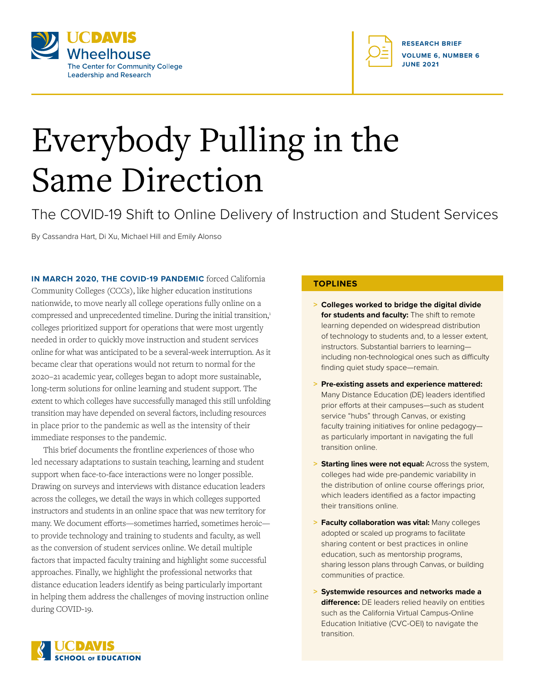



# Everybody Pulling in the Same Direction

The COVID-19 Shift to Online Delivery of Instruction and Student Services

By Cassandra Hart, Di Xu, Michael Hill and Emily Alonso

**IN MARCH 2020, THE COVID-19 PANDEMIC** forced California Community Colleges (CCCs), like higher education institutions nationwide, to move nearly all college operations fully online on a compressed and unprecedented timeline. During the initial transition,1 colleges prioritized support for operations that were most urgently needed in order to quickly move instruction and student services online for what was anticipated to be a several-week interruption. As it became clear that operations would not return to normal for the 2020–21 academic year, colleges began to adopt more sustainable, long-term solutions for online learning and student support. The extent to which colleges have successfully managed this still unfolding transition may have depended on several factors, including resources in place prior to the pandemic as well as the intensity of their immediate responses to the pandemic.

This brief documents the frontline experiences of those who led necessary adaptations to sustain teaching, learning and student support when face-to-face interactions were no longer possible. Drawing on surveys and interviews with distance education leaders across the colleges, we detail the ways in which colleges supported instructors and students in an online space that was new territory for many. We document efforts—sometimes harried, sometimes heroic to provide technology and training to students and faculty, as well as the conversion of student services online. We detail multiple factors that impacted faculty training and highlight some successful approaches. Finally, we highlight the professional networks that distance education leaders identify as being particularly important in helping them address the challenges of moving instruction online during COVID-19.

#### **TOPLINES**

- **> Colleges worked to bridge the digital divide for students and faculty:** The shift to remote learning depended on widespread distribution of technology to students and, to a lesser extent, instructors. Substantial barriers to learning including non-technological ones such as difficulty finding quiet study space—remain.
- **> Pre-existing assets and experience mattered:** Many Distance Education (DE) leaders identified prior efforts at their campuses—such as student service "hubs" through Canvas, or existing faculty training initiatives for online pedagogy as particularly important in navigating the full transition online.
- **> Starting lines were not equal:** Across the system, colleges had wide pre-pandemic variability in the distribution of online course offerings prior, which leaders identified as a factor impacting their transitions online.
- **> Faculty collaboration was vital:** Many colleges adopted or scaled up programs to facilitate sharing content or best practices in online education, such as mentorship programs, sharing lesson plans through Canvas, or building communities of practice.
- **> Systemwide resources and networks made a difference:** DE leaders relied heavily on entities such as the California Virtual Campus-Online Education Initiative (CVC-OEI) to navigate the transition.

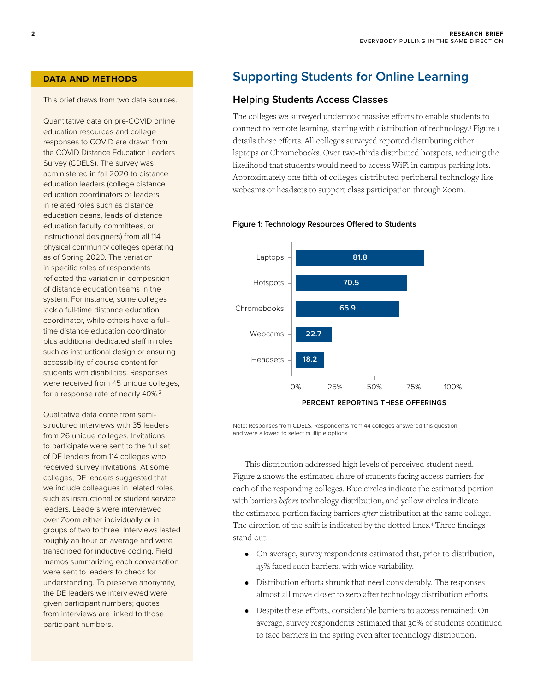This brief draws from two data sources.

Quantitative data on pre-COVID online education resources and college responses to COVID are drawn from the COVID Distance Education Leaders Survey (CDELS). The survey was administered in fall 2020 to distance education leaders (college distance education coordinators or leaders in related roles such as distance education deans, leads of distance education faculty committees, or instructional designers) from all 114 physical community colleges operating as of Spring 2020. The variation in specific roles of respondents reflected the variation in composition of distance education teams in the system. For instance, some colleges lack a full-time distance education coordinator, while others have a fulltime distance education coordinator plus additional dedicated staff in roles such as instructional design or ensuring accessibility of course content for students with disabilities. Responses were received from 45 unique colleges, for a response rate of nearly 40%.<sup>2</sup>

Qualitative data come from semistructured interviews with 35 leaders from 26 unique colleges. Invitations to participate were sent to the full set of DE leaders from 114 colleges who received survey invitations. At some colleges, DE leaders suggested that we include colleagues in related roles, such as instructional or student service leaders. Leaders were interviewed over Zoom either individually or in groups of two to three. Interviews lasted roughly an hour on average and were transcribed for inductive coding. Field memos summarizing each conversation were sent to leaders to check for understanding. To preserve anonymity, the DE leaders we interviewed were given participant numbers; quotes from interviews are linked to those participant numbers.

## **DATA AND METHODS Supporting Students for Online Learning**

#### **Helping Students Access Classes**

The colleges we surveyed undertook massive efforts to enable students to connect to remote learning, starting with distribution of technology.3 Figure 1 details these efforts. All colleges surveyed reported distributing either laptops or Chromebooks. Over two-thirds distributed hotspots, reducing the likelihood that students would need to access WiFi in campus parking lots. Approximately one fifth of colleges distributed peripheral technology like webcams or headsets to support class participation through Zoom.

#### **Figure 1: Technology Resources Offered to Students**



Note: Responses from CDELS. Respondents from 44 colleges answered this question and were allowed to select multiple options.

This distribution addressed high levels of perceived student need. Figure 2 shows the estimated share of students facing access barriers for each of the responding colleges. Blue circles indicate the estimated portion with barriers *before* technology distribution, and yellow circles indicate the estimated portion facing barriers *after* distribution at the same college. The direction of the shift is indicated by the dotted lines.4 Three findings stand out:

- On average, survey respondents estimated that, prior to distribution, 45% faced such barriers, with wide variability.
- Distribution efforts shrunk that need considerably. The responses almost all move closer to zero after technology distribution efforts.
- Despite these efforts, considerable barriers to access remained: On average, survey respondents estimated that 30% of students continued to face barriers in the spring even after technology distribution.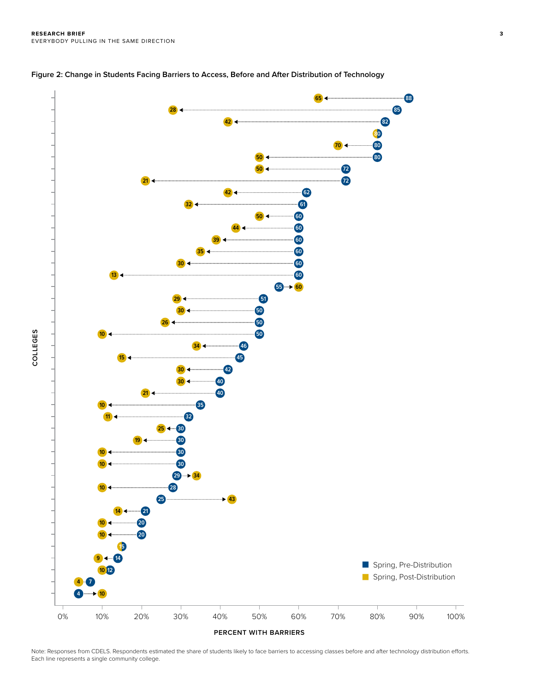



Note: Responses from CDELS. Respondents estimated the share of students likely to face barriers to accessing classes before and after technology distribution efforts. Each line represents a single community college.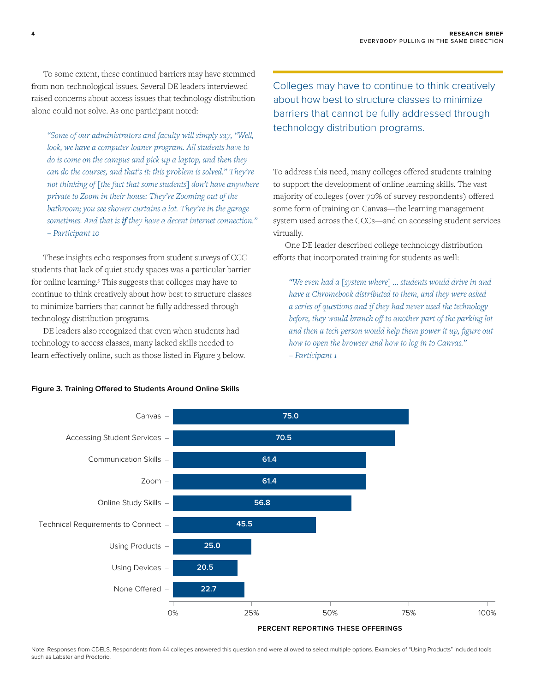To some extent, these continued barriers may have stemmed from non-technological issues. Several DE leaders interviewed raised concerns about access issues that technology distribution alone could not solve. As one participant noted:

*"Some of our administrators and faculty will simply say, "Well,*  look, we have a computer loaner program. All students have to *do is come on the campus and pick up a laptop, and then they can do the courses, and that's it: this problem is solved." They're not thinking of [the fact that some students] don't have anywhere private to Zoom in their house: They're Zooming out of the bathroom; you see shower curtains a lot. They're in the garage sometimes. And that is if they have a decent internet connection." – Participant 10*

These insights echo responses from student surveys of CCC students that lack of quiet study spaces was a particular barrier for online learning.<sup>5</sup> This suggests that colleges may have to continue to think creatively about how best to structure classes to minimize barriers that cannot be fully addressed through technology distribution programs.

DE leaders also recognized that even when students had technology to access classes, many lacked skills needed to learn effectively online, such as those listed in Figure 3 below. Colleges may have to continue to think creatively about how best to structure classes to minimize barriers that cannot be fully addressed through technology distribution programs.

To address this need, many colleges offered students training to support the development of online learning skills. The vast majority of colleges (over 70% of survey respondents) offered some form of training on Canvas—the learning management system used across the CCCs—and on accessing student services virtually.

One DE leader described college technology distribution efforts that incorporated training for students as well:

*"We even had a [system where] … students would drive in and have a Chromebook distributed to them, and they were asked a series of questions and if they had never used the technology before, they would branch off to another part of the parking lot and then a tech person would help them power it up, figure out how to open the browser and how to log in to Canvas." – Participant 1*





Note: Responses from CDELS. Respondents from 44 colleges answered this question and were allowed to select multiple options. Examples of "Using Products" included tools such as Labster and Proctorio.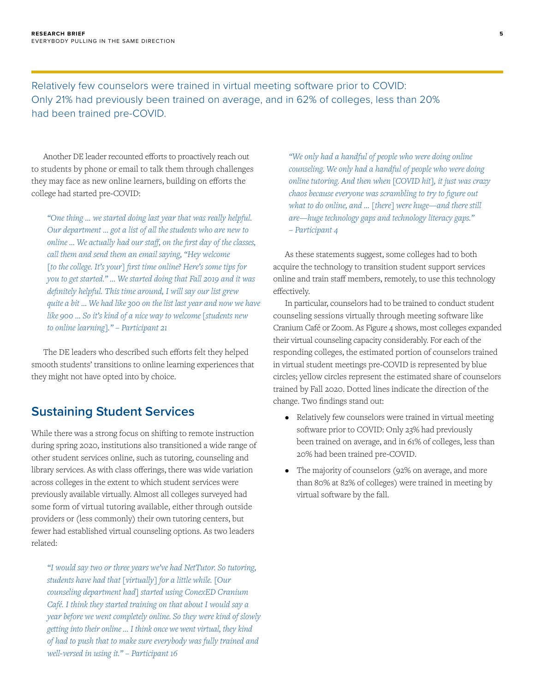Relatively few counselors were trained in virtual meeting software prior to COVID: Only 21% had previously been trained on average, and in 62% of colleges, less than 20% had been trained pre-COVID.

Another DE leader recounted efforts to proactively reach out to students by phone or email to talk them through challenges they may face as new online learners, building on efforts the college had started pre-COVID:

*"One thing … we started doing last year that was really helpful. Our department … got a list of all the students who are new to online … We actually had our staff, on the first day of the classes, call them and send them an email saying, "Hey welcome [to the college. It's your] first time online? Here's some tips for you to get started." … We started doing that Fall 2019 and it was definitely helpful. This time around, I will say our list grew quite a bit … We had like 300 on the list last year and now we have like 900 … So it's kind of a nice way to welcome [students new to online learning]." – Participant 21*

The DE leaders who described such efforts felt they helped smooth students' transitions to online learning experiences that they might not have opted into by choice.

## **Sustaining Student Services**

While there was a strong focus on shifting to remote instruction during spring 2020, institutions also transitioned a wide range of other student services online, such as tutoring, counseling and library services. As with class offerings, there was wide variation across colleges in the extent to which student services were previously available virtually. Almost all colleges surveyed had some form of virtual tutoring available, either through outside providers or (less commonly) their own tutoring centers, but fewer had established virtual counseling options. As two leaders related:

*"I would say two or three years we've had NetTutor. So tutoring, students have had that [virtually] for a little while. [Our counseling department had] started using ConexED Cranium Café. I think they started training on that about I would say a year before we went completely online. So they were kind of slowly getting into their online … I think once we went virtual, they kind of had to push that to make sure everybody was fully trained and well-versed in using it." – Participant 16*

*"We only had a handful of people who were doing online counseling. We only had a handful of people who were doing online tutoring. And then when [COVID hit], it just was crazy chaos because everyone was scrambling to try to figure out what to do online, and … [there] were huge—and there still are—huge technology gaps and technology literacy gaps." – Participant 4*

As these statements suggest, some colleges had to both acquire the technology to transition student support services online and train staff members, remotely, to use this technology effectively.

In particular, counselors had to be trained to conduct student counseling sessions virtually through meeting software like Cranium Café or Zoom. As Figure 4 shows, most colleges expanded their virtual counseling capacity considerably. For each of the responding colleges, the estimated portion of counselors trained in virtual student meetings pre-COVID is represented by blue circles; yellow circles represent the estimated share of counselors trained by Fall 2020. Dotted lines indicate the direction of the change. Two findings stand out:

- Relatively few counselors were trained in virtual meeting software prior to COVID: Only 23% had previously been trained on average, and in 61% of colleges, less than 20% had been trained pre-COVID.
- The majority of counselors (92% on average, and more than 80% at 82% of colleges) were trained in meeting by virtual software by the fall.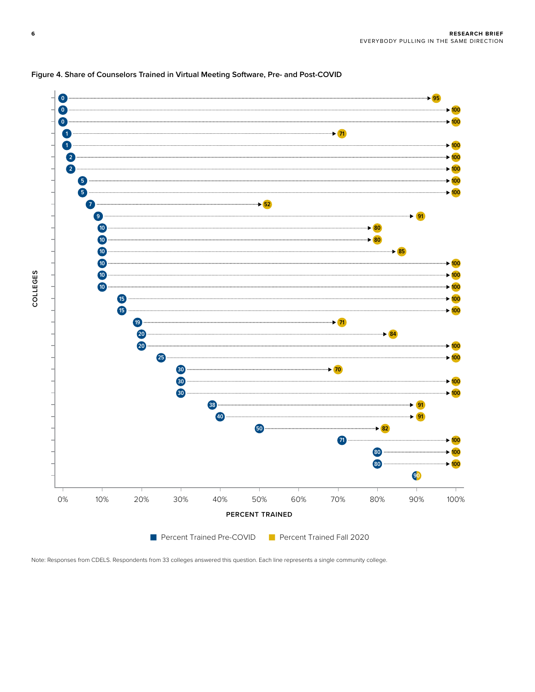

#### **Figure 4. Share of Counselors Trained in Virtual Meeting Software, Pre- and Post-COVID**

Note: Responses from CDELS. Respondents from 33 colleges answered this question. Each line represents a single community college.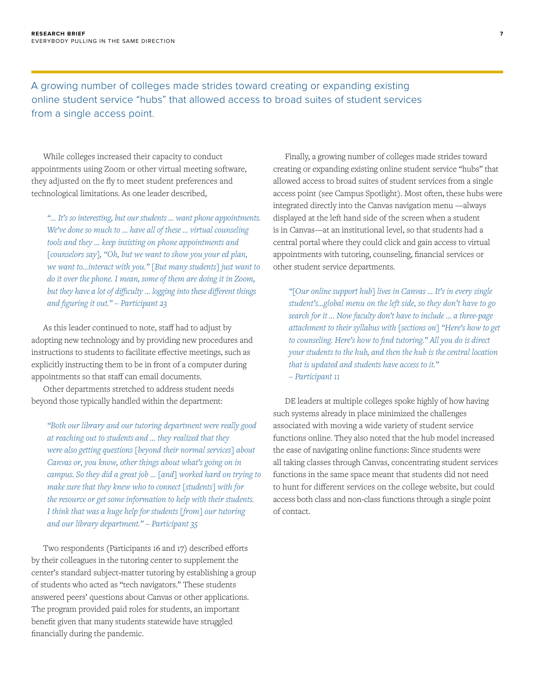A growing number of colleges made strides toward creating or expanding existing online student service "hubs" that allowed access to broad suites of student services from a single access point.

While colleges increased their capacity to conduct appointments using Zoom or other virtual meeting software, they adjusted on the fly to meet student preferences and technological limitations. As one leader described,

*"… It's so interesting, but our students … want phone appointments. We've done so much to … have all of these … virtual counseling tools and they … keep insisting on phone appointments and [counselors say], "Oh, but we want to show you your ed plan, we want to…interact with you." [But many students] just want to do it over the phone. I mean, some of them are doing it in Zoom, but they have a lot of difficulty … logging into these different things and figuring it out." – Participant 23*

As this leader continued to note, staff had to adjust by adopting new technology and by providing new procedures and instructions to students to facilitate effective meetings, such as explicitly instructing them to be in front of a computer during appointments so that staff can email documents.

Other departments stretched to address student needs beyond those typically handled within the department:

*"Both our library and our tutoring department were really good at reaching out to students and … they realized that they were also getting questions [beyond their normal services] about Canvas or, you know, other things about what's going on in campus. So they did a great job … [and] worked hard on trying to make sure that they knew who to connect [students] with for the resource or get some information to help with their students. I think that was a huge help for students [from] our tutoring and our library department." – Participant 35*

Two respondents (Participants 16 and 17) described efforts by their colleagues in the tutoring center to supplement the center's standard subject-matter tutoring by establishing a group of students who acted as "tech navigators." These students answered peers' questions about Canvas or other applications. The program provided paid roles for students, an important benefit given that many students statewide have struggled financially during the pandemic.

Finally, a growing number of colleges made strides toward creating or expanding existing online student service "hubs" that allowed access to broad suites of student services from a single access point (see Campus Spotlight). Most often, these hubs were integrated directly into the Canvas navigation menu —always displayed at the left hand side of the screen when a student is in Canvas—at an institutional level, so that students had a central portal where they could click and gain access to virtual appointments with tutoring, counseling, financial services or other student service departments.

*"[Our online support hub] lives in Canvas … It's in every single student's…global menu on the left side, so they don't have to go search for it … Now faculty don't have to include … a three-page attachment to their syllabus with [sections on] "Here's how to get to counseling. Here's how to find tutoring." All you do is direct your students to the hub, and then the hub is the central location that is updated and students have access to it." – Participant 11*

DE leaders at multiple colleges spoke highly of how having such systems already in place minimized the challenges associated with moving a wide variety of student service functions online. They also noted that the hub model increased the ease of navigating online functions: Since students were all taking classes through Canvas, concentrating student services functions in the same space meant that students did not need to hunt for different services on the college website, but could access both class and non-class functions through a single point of contact.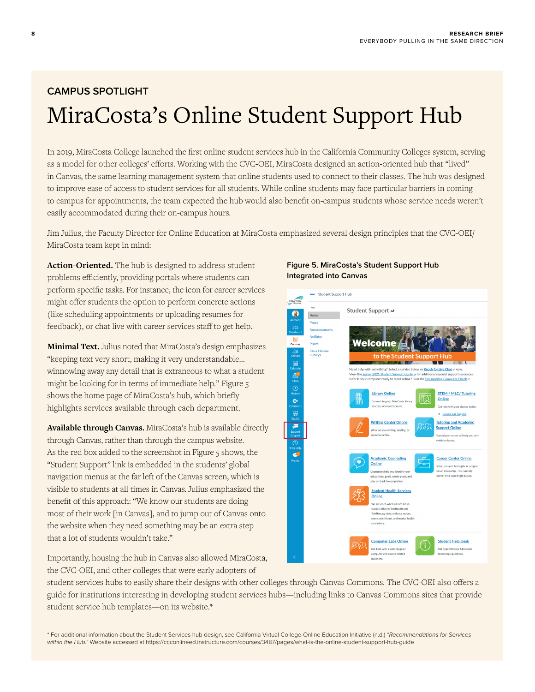# **CAMPUS SPOTLIGHT** MiraCosta's Online Student Support Hub

In 2019, MiraCosta College launched the first online student services hub in the California Community Colleges system, serving as a model for other colleges' efforts. Working with the CVC-OEI, MiraCosta designed an action-oriented hub that "lived" in Canvas, the same learning management system that online students used to connect to their classes. The hub was designed to improve ease of access to student services for all students. While online students may face particular barriers in coming to campus for appointments, the team expected the hub would also benefit on-campus students whose service needs weren't easily accommodated during their on-campus hours.

Jim Julius, the Faculty Director for Online Education at MiraCosta emphasized several design principles that the CVC-OEI/ MiraCosta team kept in mind:

**Action-Oriented.** The hub is designed to address student problems efficiently, providing portals where students can perform specific tasks. For instance, the icon for career services might offer students the option to perform concrete actions (like scheduling appointments or uploading resumes for feedback), or chat live with career services staff to get help.

**Minimal Text.** Julius noted that MiraCosta's design emphasizes "keeping text very short, making it very understandable… winnowing away any detail that is extraneous to what a student might be looking for in terms of immediate help." Figure 5 shows the home page of MiraCosta's hub, which briefly highlights services available through each department.

**Available through Canvas.** MiraCosta's hub is available directly through Canvas, rather than through the campus website. As the red box added to the screenshot in Figure 5 shows, the "Student Support" link is embedded in the students' global navigation menus at the far left of the Canvas screen, which is visible to students at all times in Canvas. Julius emphasized the benefit of this approach: "We know our students are doing most of their work [in Canvas], and to jump out of Canvas onto the website when they need something may be an extra step that a lot of students wouldn't take."

Importantly, housing the hub in Canvas also allowed MiraCosta, the CVC-OEI, and other colleges that were early adopters of

#### **Figure 5. MiraCosta's Student Support Hub Integrated into Canvas**



student services hubs to easily share their designs with other colleges through Canvas Commons. The CVC-OEI also offers a guide for institutions interesting in developing student services hubs—including links to Canvas Commons sites that provide student service hub templates—on its website.\*

\* For additional information about the Student Services hub design, see California Virtual College-Online Education Initiative (n.d.) *"Recommendations for Services within the Hub."* Website accessed at<https://ccconlineed.instructure.com/courses/3487/pages/what-is-the-online-student-support-hub-guide>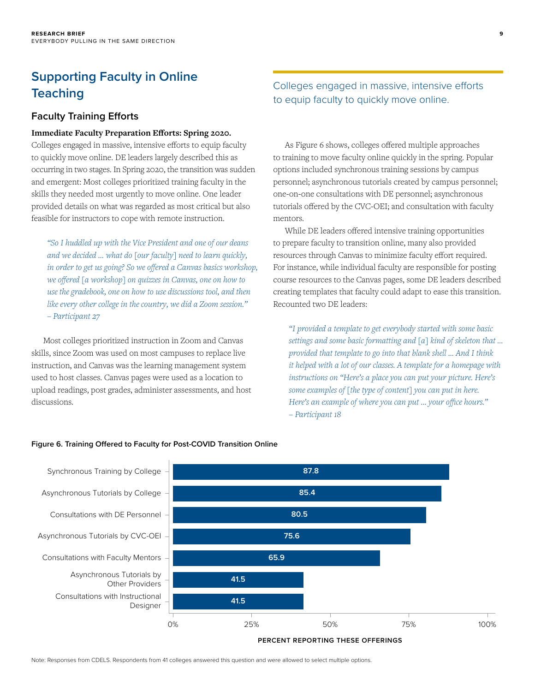## **Supporting Faculty in Online Teaching**

### **Faculty Training Efforts**

#### **Immediate Faculty Preparation Efforts: Spring 2020.**

Colleges engaged in massive, intensive efforts to equip faculty to quickly move online. DE leaders largely described this as occurring in two stages. In Spring 2020, the transition was sudden and emergent: Most colleges prioritized training faculty in the skills they needed most urgently to move online. One leader provided details on what was regarded as most critical but also feasible for instructors to cope with remote instruction.

*"So I huddled up with the Vice President and one of our deans and we decided … what do [our faculty] need to learn quickly, in order to get us going? So we offered a Canvas basics workshop, we offered [a workshop] on quizzes in Canvas, one on how to use the gradebook, one on how to use discussions tool, and then like every other college in the country, we did a Zoom session." – Participant 27*

Most colleges prioritized instruction in Zoom and Canvas skills, since Zoom was used on most campuses to replace live instruction, and Canvas was the learning management system used to host classes. Canvas pages were used as a location to upload readings, post grades, administer assessments, and host discussions.

## Colleges engaged in massive, intensive efforts to equip faculty to quickly move online.

**9**

As Figure 6 shows, colleges offered multiple approaches to training to move faculty online quickly in the spring. Popular options included synchronous training sessions by campus personnel; asynchronous tutorials created by campus personnel; one-on-one consultations with DE personnel; asynchronous tutorials offered by the CVC-OEI; and consultation with faculty mentors.

While DE leaders offered intensive training opportunities to prepare faculty to transition online, many also provided resources through Canvas to minimize faculty effort required. For instance, while individual faculty are responsible for posting course resources to the Canvas pages, some DE leaders described creating templates that faculty could adapt to ease this transition. Recounted two DE leaders:

*"I provided a template to get everybody started with some basic settings and some basic formatting and [a] kind of skeleton that … provided that template to go into that blank shell … And I think it helped with a lot of our classes. A template for a homepage with instructions on "Here's a place you can put your picture. Here's some examples of [the type of content] you can put in here. Here's an example of where you can put … your office hours." – Participant 18*



**PERCENT REPORTING THESE OFFERINGS**

**Figure 6. Training Offered to Faculty for Post-COVID Transition Online**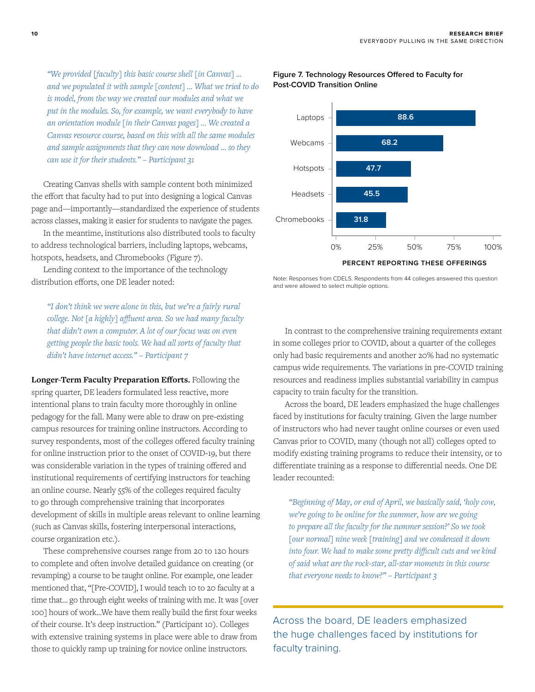*"We provided [faculty] this basic course shell [in Canvas] … and we populated it with sample [content] … What we tried to do is model, from the way we created our modules and what we put in the modules. So, for example, we want everybody to have an orientation module [in their Canvas pages] … We created a Canvas resource course, based on this with all the same modules and sample assignments that they can now download … so they can use it for their students." – Participant 31*

Creating Canvas shells with sample content both minimized the effort that faculty had to put into designing a logical Canvas page and—importantly—standardized the experience of students across classes, making it easier for students to navigate the pages.

In the meantime, institutions also distributed tools to faculty to address technological barriers, including laptops, webcams, hotspots, headsets, and Chromebooks (Figure 7).

Lending context to the importance of the technology distribution efforts, one DE leader noted:

*"I don't think we were alone in this, but we're a fairly rural college. Not [a highly] affluent area. So we had many faculty that didn't own a computer. A lot of our focus was on even getting people the basic tools. We had all sorts of faculty that didn't have internet access." – Participant 7*

**Longer-Term Faculty Preparation Efforts.** Following the spring quarter, DE leaders formulated less reactive, more intentional plans to train faculty more thoroughly in online pedagogy for the fall. Many were able to draw on pre-existing campus resources for training online instructors. According to survey respondents, most of the colleges offered faculty training for online instruction prior to the onset of COVID-19, but there was considerable variation in the types of training offered and institutional requirements of certifying instructors for teaching an online course. Nearly 55% of the colleges required faculty to go through comprehensive training that incorporates development of skills in multiple areas relevant to online learning (such as Canvas skills, fostering interpersonal interactions, course organization etc.).

These comprehensive courses range from 20 to 120 hours to complete and often involve detailed guidance on creating (or revamping) a course to be taught online. For example, one leader mentioned that, "[Pre-COVID], I would teach 10 to 20 faculty at a time that… go through eight weeks of training with me. It was [over 100] hours of work…We have them really build the first four weeks of their course. It's deep instruction." (Participant 10). Colleges with extensive training systems in place were able to draw from those to quickly ramp up training for novice online instructors.



#### **Figure 7. Technology Resources Offered to Faculty for Post-COVID Transition Online**

Note: Responses from CDELS. Respondents from 44 colleges answered this question and were allowed to select multiple options.

In contrast to the comprehensive training requirements extant in some colleges prior to COVID, about a quarter of the colleges only had basic requirements and another 20% had no systematic campus wide requirements. The variations in pre-COVID training resources and readiness implies substantial variability in campus capacity to train faculty for the transition.

Across the board, DE leaders emphasized the huge challenges faced by institutions for faculty training. Given the large number of instructors who had never taught online courses or even used Canvas prior to COVID, many (though not all) colleges opted to modify existing training programs to reduce their intensity, or to differentiate training as a response to differential needs. One DE leader recounted:

*"Beginning of May, or end of April, we basically said, 'holy cow, we're going to be online for the summer, how are we going to prepare all the faculty for the summer session?' So we took [our normal] nine week [training] and we condensed it down into four. We had to make some pretty difficult cuts and we kind of said what are the rock-star, all-star moments in this course that everyone needs to know?" – Participant 3*

Across the board, DE leaders emphasized the huge challenges faced by institutions for faculty training.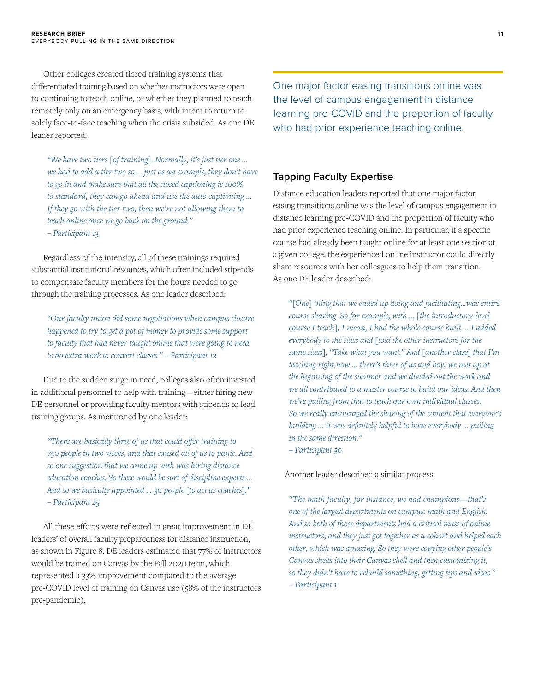Other colleges created tiered training systems that differentiated training based on whether instructors were open to continuing to teach online, or whether they planned to teach remotely only on an emergency basis, with intent to return to solely face-to-face teaching when the crisis subsided. As one DE leader reported:

*"We have two tiers [of training]. Normally, it's just tier one … we had to add a tier two so … just as an example, they don't have to go in and make sure that all the closed captioning is 100% to standard, they can go ahead and use the auto captioning … If they go with the tier two, then we're not allowing them to teach online once we go back on the ground." – Participant 13*

Regardless of the intensity, all of these trainings required substantial institutional resources, which often included stipends to compensate faculty members for the hours needed to go through the training processes. As one leader described:

*"Our faculty union did some negotiations when campus closure happened to try to get a pot of money to provide some support to faculty that had never taught online that were going to need to do extra work to convert classes." – Participant 12*

Due to the sudden surge in need, colleges also often invested in additional personnel to help with training—either hiring new DE personnel or providing faculty mentors with stipends to lead training groups. As mentioned by one leader:

*"There are basically three of us that could offer training to 750 people in two weeks, and that caused all of us to panic. And so one suggestion that we came up with was hiring distance education coaches. So these would be sort of discipline experts … And so we basically appointed … 30 people [to act as coaches]." – Participant 25*

All these efforts were reflected in great improvement in DE leaders' of overall faculty preparedness for distance instruction, as shown in Figure 8. DE leaders estimated that 77% of instructors would be trained on Canvas by the Fall 2020 term, which represented a 33% improvement compared to the average pre-COVID level of training on Canvas use (58% of the instructors pre-pandemic).

One major factor easing transitions online was the level of campus engagement in distance learning pre-COVID and the proportion of faculty who had prior experience teaching online.

#### **Tapping Faculty Expertise**

Distance education leaders reported that one major factor easing transitions online was the level of campus engagement in distance learning pre-COVID and the proportion of faculty who had prior experience teaching online. In particular, if a specific course had already been taught online for at least one section at a given college, the experienced online instructor could directly share resources with her colleagues to help them transition. As one DE leader described:

*"[One] thing that we ended up doing and facilitating…was entire course sharing. So for example, with … [the introductory-level course I teach], I mean, I had the whole course built … I added everybody to the class and [told the other instructors for the same class], "Take what you want." And [another class] that I'm teaching right now … there's three of us and boy, we met up at the beginning of the summer and we divided out the work and we all contributed to a master course to build our ideas. And then we're pulling from that to teach our own individual classes. So we really encouraged the sharing of the content that everyone's building … It was definitely helpful to have everybody … pulling in the same direction."* 

*– Participant 30*

#### Another leader described a similar process:

*"The math faculty, for instance, we had champions—that's one of the largest departments on campus: math and English. And so both of those departments had a critical mass of online instructors, and they just got together as a cohort and helped each other, which was amazing. So they were copying other people's Canvas shells into their Canvas shell and then customizing it, so they didn't have to rebuild something, getting tips and ideas." – Participant 1*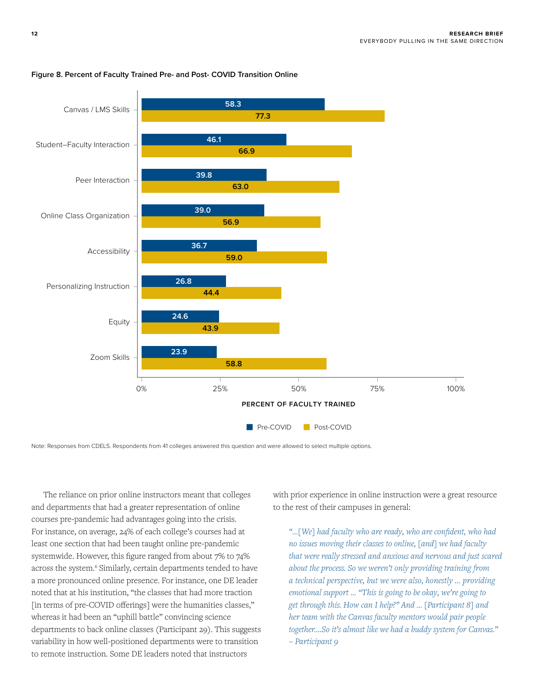

#### **Figure 8. Percent of Faculty Trained Pre- and Post- COVID Transition Online**

Note: Responses from CDELS. Respondents from 41 colleges answered this question and were allowed to select multiple options.

The reliance on prior online instructors meant that colleges and departments that had a greater representation of online courses pre-pandemic had advantages going into the crisis. For instance, on average, 24% of each college's courses had at least one section that had been taught online pre-pandemic systemwide. However, this figure ranged from about 7% to 74% across the system.<sup>6</sup> Similarly, certain departments tended to have a more pronounced online presence. For instance, one DE leader noted that at his institution, "the classes that had more traction [in terms of pre-COVID offerings] were the humanities classes," whereas it had been an "uphill battle" convincing science departments to back online classes (Participant 29). This suggests variability in how well-positioned departments were to transition to remote instruction. Some DE leaders noted that instructors

with prior experience in online instruction were a great resource to the rest of their campuses in general:

*"…[We] had faculty who are ready, who are confident, who had no issues moving their classes to online, [and] we had faculty that were really stressed and anxious and nervous and just scared about the process. So we weren't only providing training from a technical perspective, but we were also, honestly … providing emotional support … "This is going to be okay, we're going to get through this. How can I help?" And … [Participant 8] and her team with the Canvas faculty mentors would pair people together.…So it's almost like we had a buddy system for Canvas." – Participant 9*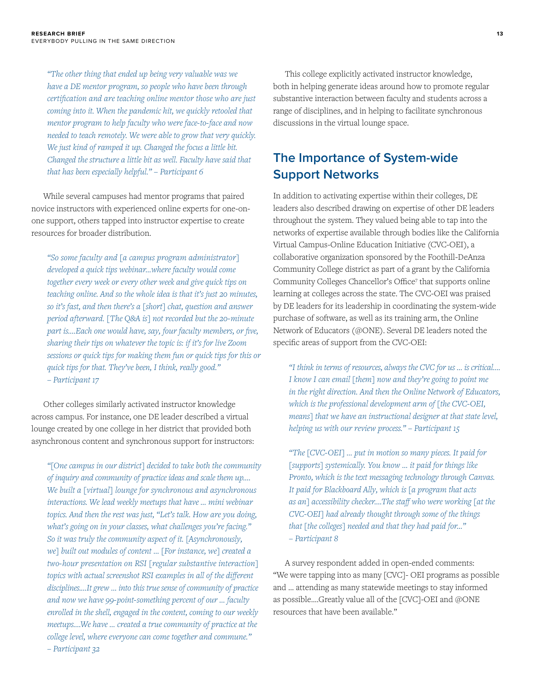*"The other thing that ended up being very valuable was we have a DE mentor program, so people who have been through certification and are teaching online mentor those who are just coming into it. When the pandemic hit, we quickly retooled that mentor program to help faculty who were face-to-face and now needed to teach remotely. We were able to grow that very quickly. We just kind of ramped it up. Changed the focus a little bit. Changed the structure a little bit as well. Faculty have said that that has been especially helpful." – Participant 6* 

While several campuses had mentor programs that paired novice instructors with experienced online experts for one-onone support, others tapped into instructor expertise to create resources for broader distribution.

*"So some faculty and [a campus program administrator] developed a quick tips webinar…where faculty would come together every week or every other week and give quick tips on teaching online. And so the whole idea is that it's just 20 minutes, so it's fast, and then there's a [short] chat, question and answer period afterward. [The Q&A is] not recorded but the 20-minute part is.…Each one would have, say, four faculty members, or five, sharing their tips on whatever the topic is: if it's for live Zoom sessions or quick tips for making them fun or quick tips for this or quick tips for that. They've been, I think, really good." – Participant 17*

Other colleges similarly activated instructor knowledge across campus. For instance, one DE leader described a virtual lounge created by one college in her district that provided both asynchronous content and synchronous support for instructors:

*"[One campus in our district] decided to take both the community of inquiry and community of practice ideas and scale them up.… We built a [virtual] lounge for synchronous and asynchronous interactions. We lead weekly meetups that have … mini webinar topics. And then the rest was just, "Let's talk. How are you doing, what's going on in your classes, what challenges you're facing." So it was truly the community aspect of it. [Asynchronously, we] built out modules of content … [For instance, we] created a two-hour presentation on RSI [regular substantive interaction] topics with actual screenshot RSI examples in all of the different disciplines.…It grew … into this true sense of community of practice and now we have 99-point-something percent of our … faculty enrolled in the shell, engaged in the content, coming to our weekly meetups.…We have … created a true community of practice at the college level, where everyone can come together and commune." – Participant 32*

This college explicitly activated instructor knowledge, both in helping generate ideas around how to promote regular substantive interaction between faculty and students across a range of disciplines, and in helping to facilitate synchronous discussions in the virtual lounge space.

## **The Importance of System-wide Support Networks**

In addition to activating expertise within their colleges, DE leaders also described drawing on expertise of other DE leaders throughout the system. They valued being able to tap into the networks of expertise available through bodies like the California Virtual Campus-Online Education Initiative (CVC-OEI), a collaborative organization sponsored by the Foothill-DeAnza Community College district as part of a grant by the California Community Colleges Chancellor's Office<sup>7</sup> that supports online learning at colleges across the state. The CVC-OEI was praised by DE leaders for its leadership in coordinating the system-wide purchase of software, as well as its training arm, the Online Network of Educators (@ONE). Several DE leaders noted the specific areas of support from the CVC-OEI:

*"I think in terms of resources, always the CVC for us … is critical…. I know I can email [them] now and they're going to point me in the right direction. And then the Online Network of Educators, which is the professional development arm of [the CVC-OEI, means] that we have an instructional designer at that state level, helping us with our review process." – Participant 15* 

*"The [CVC-OEI] … put in motion so many pieces. It paid for [supports] systemically. You know … it paid for things like Pronto, which is the text messaging technology through Canvas. It paid for Blackboard Ally, which is [a program that acts as an] accessibility checker.…The staff who were working [at the CVC-OEI] had already thought through some of the things that [the colleges] needed and that they had paid for…" – Participant 8*

A survey respondent added in open-ended comments: "We were tapping into as many [CVC]- OEI programs as possible and … attending as many statewide meetings to stay informed as possible….Greatly value all of the [CVC]-OEI and @ONE resources that have been available."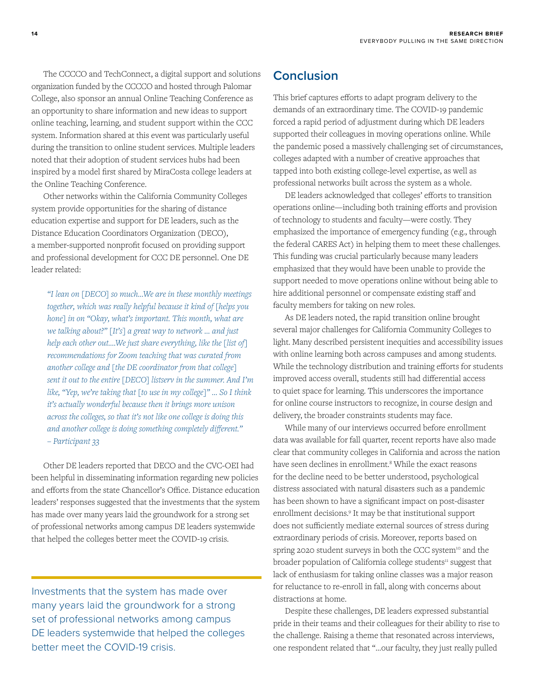The CCCCO and TechConnect, a digital support and solutions organization funded by the CCCCO and hosted through Palomar College, also sponsor an annual Online Teaching Conference as an opportunity to share information and new ideas to support online teaching, learning, and student support within the CCC system. Information shared at this event was particularly useful during the transition to online student services. Multiple leaders noted that their adoption of student services hubs had been inspired by a model first shared by MiraCosta college leaders at the Online Teaching Conference.

Other networks within the California Community Colleges system provide opportunities for the sharing of distance education expertise and support for DE leaders, such as the Distance Education Coordinators Organization (DECO), a member-supported nonprofit focused on providing support and professional development for CCC DE personnel. One DE leader related:

*"I lean on [DECO] so much…We are in these monthly meetings together, which was really helpful because it kind of [helps you hone] in on "Okay, what's important. This month, what are we talking about?" [It's] a great way to network … and just help each other out.…We just share everything, like the [list of] recommendations for Zoom teaching that was curated from another college and [the DE coordinator from that college] sent it out to the entire [DECO] listserv in the summer. And I'm like, "Yep, we're taking that [to use in my college]" … So I think it's actually wonderful because then it brings more unison across the colleges, so that it's not like one college is doing this and another college is doing something completely different." – Participant 33*

Other DE leaders reported that DECO and the CVC-OEI had been helpful in disseminating information regarding new policies and efforts from the state Chancellor's Office. Distance education leaders' responses suggested that the investments that the system has made over many years laid the groundwork for a strong set of professional networks among campus DE leaders systemwide that helped the colleges better meet the COVID-19 crisis.

Investments that the system has made over many years laid the groundwork for a strong set of professional networks among campus DE leaders systemwide that helped the colleges better meet the COVID-19 crisis.

## **Conclusion**

This brief captures efforts to adapt program delivery to the demands of an extraordinary time. The COVID-19 pandemic forced a rapid period of adjustment during which DE leaders supported their colleagues in moving operations online. While the pandemic posed a massively challenging set of circumstances, colleges adapted with a number of creative approaches that tapped into both existing college-level expertise, as well as professional networks built across the system as a whole.

DE leaders acknowledged that colleges' efforts to transition operations online—including both training efforts and provision of technology to students and faculty—were costly. They emphasized the importance of emergency funding (e.g., through the federal CARES Act) in helping them to meet these challenges. This funding was crucial particularly because many leaders emphasized that they would have been unable to provide the support needed to move operations online without being able to hire additional personnel or compensate existing staff and faculty members for taking on new roles.

As DE leaders noted, the rapid transition online brought several major challenges for California Community Colleges to light. Many described persistent inequities and accessibility issues with online learning both across campuses and among students. While the technology distribution and training efforts for students improved access overall, students still had differential access to quiet space for learning. This underscores the importance for online course instructors to recognize, in course design and delivery, the broader constraints students may face.

While many of our interviews occurred before enrollment data was available for fall quarter, recent reports have also made clear that community colleges in California and across the nation have seen declines in enrollment.<sup>8</sup> While the exact reasons for the decline need to be better understood, psychological distress associated with natural disasters such as a pandemic has been shown to have a significant impact on post-disaster enrollment decisions.9 It may be that institutional support does not sufficiently mediate external sources of stress during extraordinary periods of crisis. Moreover, reports based on spring 2020 student surveys in both the CCC system<sup>10</sup> and the broader population of California college students<sup>11</sup> suggest that lack of enthusiasm for taking online classes was a major reason for reluctance to re-enroll in fall, along with concerns about distractions at home.

Despite these challenges, DE leaders expressed substantial pride in their teams and their colleagues for their ability to rise to the challenge. Raising a theme that resonated across interviews, one respondent related that "…our faculty, they just really pulled